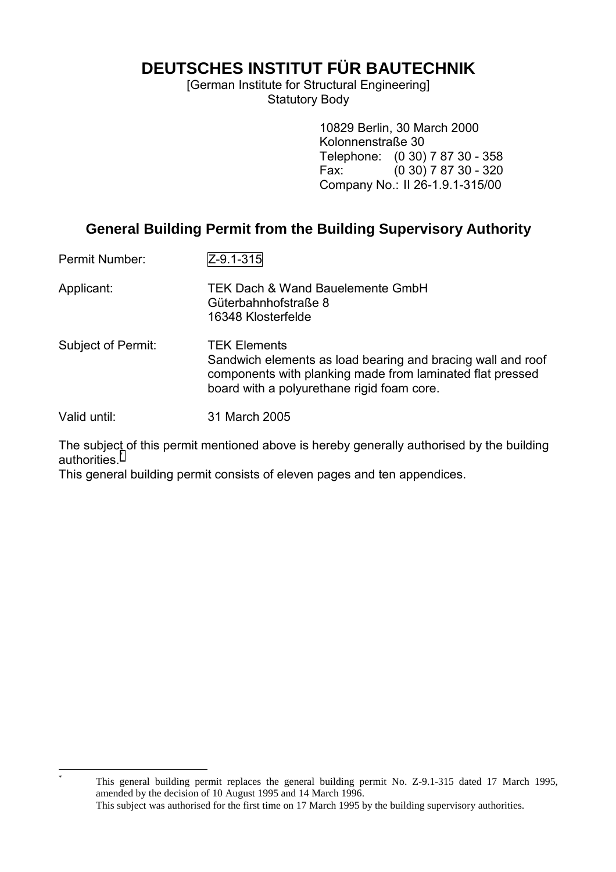**DEUTSCHES INSTITUT FÜR BAUTECHNIK**

[German Institute for Structural Engineering] Statutory Body

> 10829 Berlin, 30 March 2000 Kolonnenstraße 30 Telephone: (0 30) 7 87 30 - 358 Fax: (0 30) 7 87 30 - 320 Company No.: II 26-1.9.1-315/00

# **General Building Permit from the Building Supervisory Authority**

Permit Number: Z-9.1-315 Applicant: TEK Dach & Wand Bauelemente GmbH Güterbahnhofstraße 8 16348 Klosterfelde Subject of Permit: TEK Elements Sandwich elements as load bearing and bracing wall and roof components with planking made from laminated flat pressed board with a polyurethane rigid foam core. Valid until: 31 March 2005

The subject of this permit mentioned above is hereby generally authorised by the building authorities.

This general building permit consists of eleven pages and ten appendices.

 $\overline{a}$ \*

This general building permit replaces the general building permit No. Z-9.1-315 dated 17 March 1995, amended by the decision of 10 August 1995 and 14 March 1996. This subject was authorised for the first time on 17 March 1995 by the building supervisory authorities.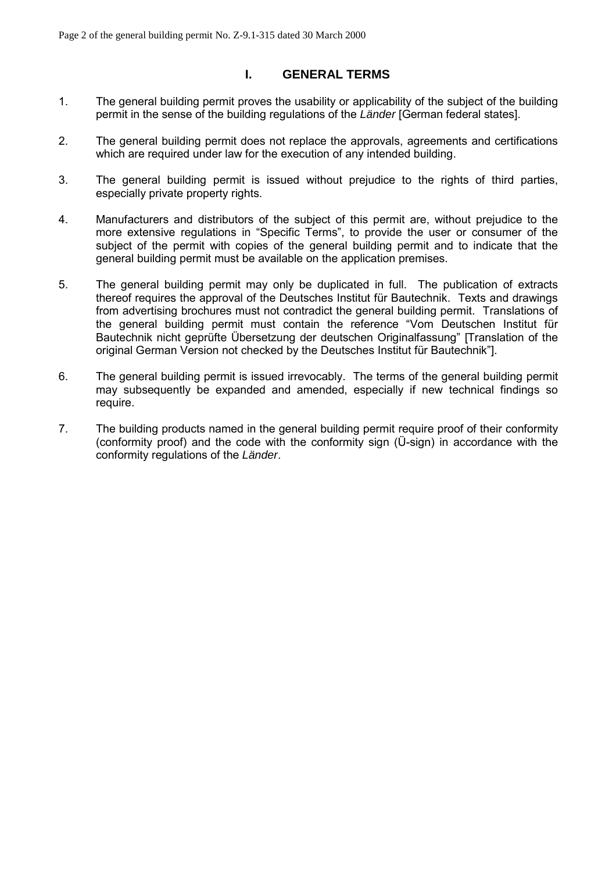## **I. GENERAL TERMS**

- 1. The general building permit proves the usability or applicability of the subject of the building permit in the sense of the building regulations of the *Länder* [German federal states].
- 2. The general building permit does not replace the approvals, agreements and certifications which are required under law for the execution of any intended building.
- 3. The general building permit is issued without prejudice to the rights of third parties, especially private property rights.
- 4. Manufacturers and distributors of the subject of this permit are, without prejudice to the more extensive regulations in "Specific Terms", to provide the user or consumer of the subject of the permit with copies of the general building permit and to indicate that the general building permit must be available on the application premises.
- 5. The general building permit may only be duplicated in full. The publication of extracts thereof requires the approval of the Deutsches Institut für Bautechnik. Texts and drawings from advertising brochures must not contradict the general building permit. Translations of the general building permit must contain the reference "Vom Deutschen Institut für Bautechnik nicht geprüfte Übersetzung der deutschen Originalfassung" [Translation of the original German Version not checked by the Deutsches Institut für Bautechnik"].
- 6. The general building permit is issued irrevocably. The terms of the general building permit may subsequently be expanded and amended, especially if new technical findings so require.
- 7. The building products named in the general building permit require proof of their conformity (conformity proof) and the code with the conformity sign (U-sign) in accordance with the conformity regulations of the *Länder*.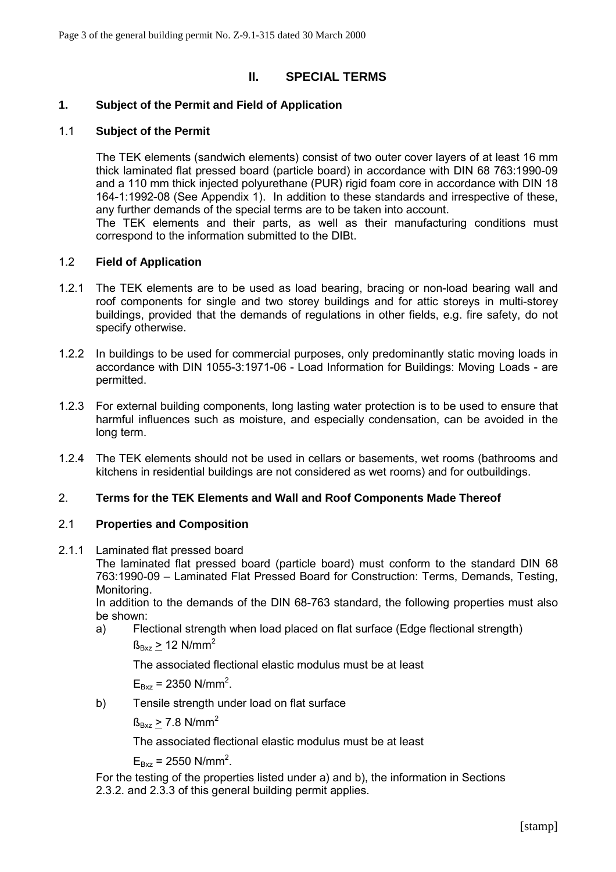## **II. SPECIAL TERMS**

## **1. Subject of the Permit and Field of Application**

## 1.1 **Subject of the Permit**

The TEK elements (sandwich elements) consist of two outer cover layers of at least 16 mm thick laminated flat pressed board (particle board) in accordance with DIN 68 763:1990-09 and a 110 mm thick injected polyurethane (PUR) rigid foam core in accordance with DIN 18 164-1:1992-08 (See Appendix 1). In addition to these standards and irrespective of these, any further demands of the special terms are to be taken into account.

The TEK elements and their parts, as well as their manufacturing conditions must correspond to the information submitted to the DIBt.

## 1.2 **Field of Application**

- 1.2.1 The TEK elements are to be used as load bearing, bracing or non-load bearing wall and roof components for single and two storey buildings and for attic storeys in multi-storey buildings, provided that the demands of regulations in other fields, e.g. fire safety, do not specify otherwise.
- 1.2.2 In buildings to be used for commercial purposes, only predominantly static moving loads in accordance with DIN 1055-3:1971-06 - Load Information for Buildings: Moving Loads - are permitted.
- 1.2.3 For external building components, long lasting water protection is to be used to ensure that harmful influences such as moisture, and especially condensation, can be avoided in the long term.
- 1.2.4 The TEK elements should not be used in cellars or basements, wet rooms (bathrooms and kitchens in residential buildings are not considered as wet rooms) and for outbuildings.

## 2. **Terms for the TEK Elements and Wall and Roof Components Made Thereof**

## 2.1 **Properties and Composition**

2.1.1 Laminated flat pressed board

The laminated flat pressed board (particle board) must conform to the standard DIN 68 763:1990-09 – Laminated Flat Pressed Board for Construction: Terms, Demands, Testing, Monitoring.

In addition to the demands of the DIN 68-763 standard, the following properties must also be shown:

a) Flectional strength when load placed on flat surface (Edge flectional strength)  $\beta_{Bxz}$  > 12 N/mm<sup>2</sup>

The associated flectional elastic modulus must be at least

 $E_{Bxz}$  = 2350 N/mm<sup>2</sup>.

b) Tensile strength under load on flat surface

 $f_{\rm Bxz}$  > 7.8 N/mm<sup>2</sup>

The associated flectional elastic modulus must be at least

 $E_{Bxz}$  = 2550 N/mm<sup>2</sup>.

For the testing of the properties listed under a) and b), the information in Sections 2.3.2. and 2.3.3 of this general building permit applies.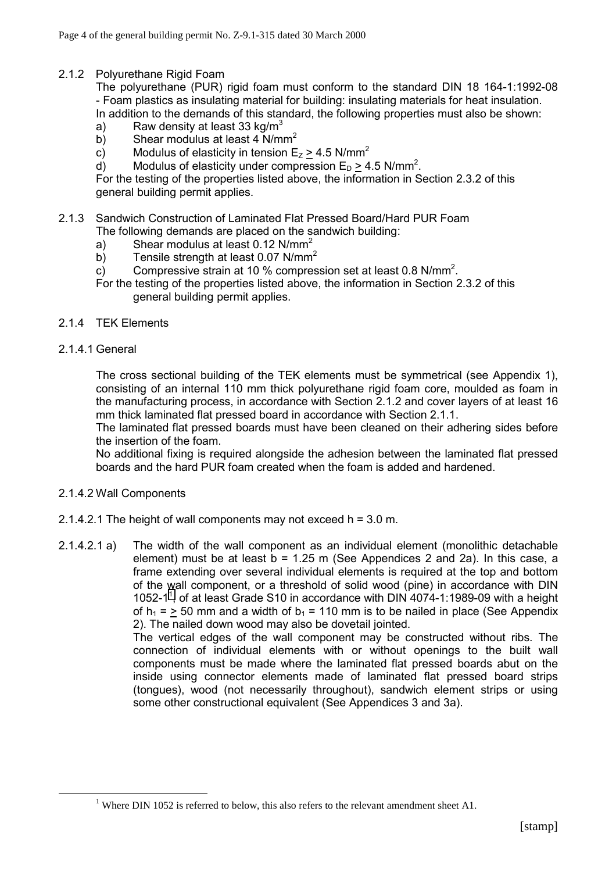## 2.1.2 Polyurethane Rigid Foam

The polyurethane (PUR) rigid foam must conform to the standard DIN 18 164-1:1992-08 - Foam plastics as insulating material for building: insulating materials for heat insulation. In addition to the demands of this standard, the following properties must also be shown:

- a) Raw density at least 33 kg/m<sup>3</sup>
- b) Shear modulus at least  $4 \text{ N/mm}^2$
- c) Modulus of elasticity in tension  $E_z \ge 4.5$  N/mm<sup>2</sup>
- d) Modulus of elasticity under compression  $E_D \ge 4.5$  N/mm<sup>2</sup>.

For the testing of the properties listed above, the information in Section 2.3.2 of this general building permit applies.

- 2.1.3 Sandwich Construction of Laminated Flat Pressed Board/Hard PUR Foam
	- The following demands are placed on the sandwich building:
		- a) Shear modulus at least  $0.12$  N/mm<sup>2</sup>
		- b) Tensile strength at least 0.07 N/mm<sup>2</sup>
		- c) Compressive strain at 10 % compression set at least 0.8 N/mm<sup>2</sup>.
		- For the testing of the properties listed above, the information in Section 2.3.2 of this general building permit applies.
- 2.1.4 TEK Elements
- 2.1.4.1 General

The cross sectional building of the TEK elements must be symmetrical (see Appendix 1), consisting of an internal 110 mm thick polyurethane rigid foam core, moulded as foam in the manufacturing process, in accordance with Section 2.1.2 and cover layers of at least 16 mm thick laminated flat pressed board in accordance with Section 2.1.1.

The laminated flat pressed boards must have been cleaned on their adhering sides before the insertion of the foam.

No additional fixing is required alongside the adhesion between the laminated flat pressed boards and the hard PUR foam created when the foam is added and hardened.

- 2.1.4.2 Wall Components
- 2.1.4.2.1 The height of wall components may not exceed h = 3.0 m.
- 2.1.4.2.1 a) The width of the wall component as an individual element (monolithic detachable element) must be at least  $b = 1.25$  m (See Appendices 2 and 2a). In this case, a frame extending over several individual elements is required at the top and bottom of the wall component, or a threshold of solid wood (pine) in accordance with DIN 1052-1<sup>1</sup>, of at least Grade S10 in accordance with DIN 4074-1:1989-09 with a height of  $h_1 =$  > 50 mm and a width of  $b_1 = 110$  mm is to be nailed in place (See Appendix 2). The nailed down wood may also be dovetail jointed.

The vertical edges of the wall component may be constructed without ribs. The connection of individual elements with or without openings to the built wall components must be made where the laminated flat pressed boards abut on the inside using connector elements made of laminated flat pressed board strips (tongues), wood (not necessarily throughout), sandwich element strips or using some other constructional equivalent (See Appendices 3 and 3a).

 $\frac{1}{1}$ <sup>1</sup> Where DIN 1052 is referred to below, this also refers to the relevant amendment sheet A1.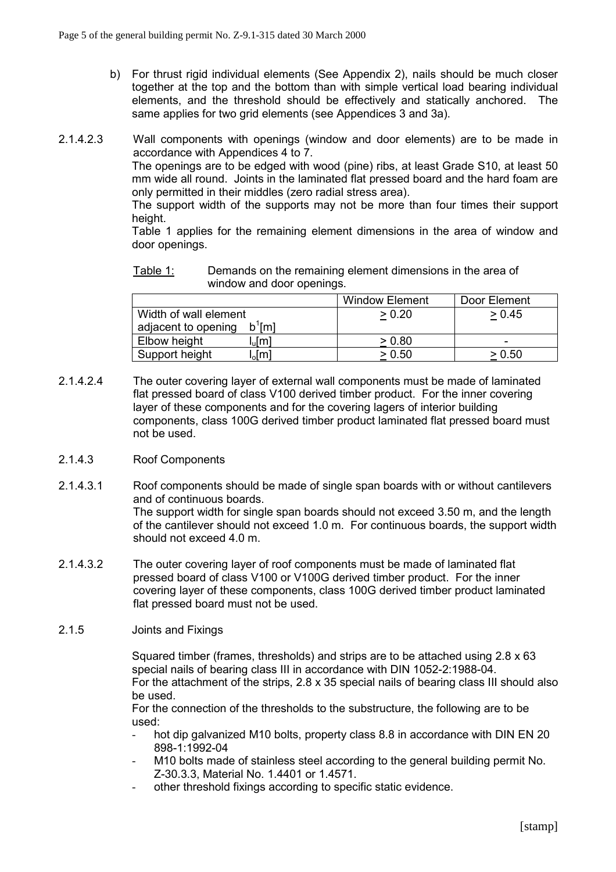- b) For thrust rigid individual elements (See Appendix 2), nails should be much closer together at the top and the bottom than with simple vertical load bearing individual elements, and the threshold should be effectively and statically anchored. The same applies for two grid elements (see Appendices 3 and 3a).
- 2.1.4.2.3 Wall components with openings (window and door elements) are to be made in accordance with Appendices 4 to 7.

The openings are to be edged with wood (pine) ribs, at least Grade S10, at least 50 mm wide all round. Joints in the laminated flat pressed board and the hard foam are only permitted in their middles (zero radial stress area).

The support width of the supports may not be more than four times their support height.

Table 1 applies for the remaining element dimensions in the area of window and door openings.

Table 1: Demands on the remaining element dimensions in the area of window and door openings.

|                                      | <b>Window Element</b> | Door Element |
|--------------------------------------|-----------------------|--------------|
| Width of wall element                | > 0.20                | > 0.45       |
| $\mathrm{m}$<br>adjacent to opening  |                       |              |
| Elbow height<br>յլ[m]                | > 0.80                | -            |
| Support height<br>. <sub>o</sub> [m] | > 0.50                | > 0.50       |

2.1.4.2.4 The outer covering layer of external wall components must be made of laminated flat pressed board of class V100 derived timber product. For the inner covering layer of these components and for the covering lagers of interior building components, class 100G derived timber product laminated flat pressed board must not be used.

#### 2.1.4.3 Roof Components

- 2.1.4.3.1 Roof components should be made of single span boards with or without cantilevers and of continuous boards. The support width for single span boards should not exceed 3.50 m, and the length of the cantilever should not exceed 1.0 m. For continuous boards, the support width should not exceed 4.0 m.
- 2.1.4.3.2 The outer covering layer of roof components must be made of laminated flat pressed board of class V100 or V100G derived timber product. For the inner covering layer of these components, class 100G derived timber product laminated flat pressed board must not be used.
- 2.1.5 Joints and Fixings

Squared timber (frames, thresholds) and strips are to be attached using 2.8 x 63 special nails of bearing class III in accordance with DIN 1052-2:1988-04. For the attachment of the strips, 2.8 x 35 special nails of bearing class III should also be used.

For the connection of the thresholds to the substructure, the following are to be used:

- hot dip galvanized M10 bolts, property class 8.8 in accordance with DIN EN 20 898-1:1992-04
- M10 bolts made of stainless steel according to the general building permit No. Z-30.3.3, Material No. 1.4401 or 1.4571.
- other threshold fixings according to specific static evidence.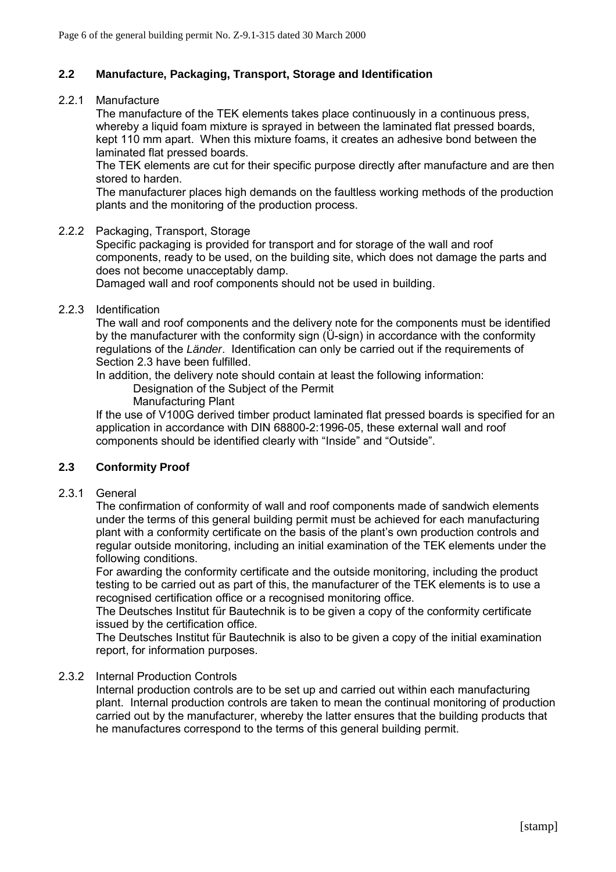## **2.2 Manufacture, Packaging, Transport, Storage and Identification**

#### 2.2.1 Manufacture

The manufacture of the TEK elements takes place continuously in a continuous press, whereby a liquid foam mixture is sprayed in between the laminated flat pressed boards, kept 110 mm apart. When this mixture foams, it creates an adhesive bond between the laminated flat pressed boards.

The TEK elements are cut for their specific purpose directly after manufacture and are then stored to harden.

The manufacturer places high demands on the faultless working methods of the production plants and the monitoring of the production process.

#### 2.2.2 Packaging, Transport, Storage

Specific packaging is provided for transport and for storage of the wall and roof components, ready to be used, on the building site, which does not damage the parts and does not become unacceptably damp.

Damaged wall and roof components should not be used in building.

#### 2.2.3 Identification

The wall and roof components and the delivery note for the components must be identified by the manufacturer with the conformity sign  $(\ddot{\mathbf{U}}\text{-sign})$  in accordance with the conformity regulations of the *Länder*. Identification can only be carried out if the requirements of Section 2.3 have been fulfilled.

In addition, the delivery note should contain at least the following information:

Designation of the Subject of the Permit

Manufacturing Plant

If the use of V100G derived timber product laminated flat pressed boards is specified for an application in accordance with DIN 68800-2:1996-05, these external wall and roof components should be identified clearly with "Inside" and "Outside".

## **2.3 Conformity Proof**

#### 2.3.1 General

The confirmation of conformity of wall and roof components made of sandwich elements under the terms of this general building permit must be achieved for each manufacturing plant with a conformity certificate on the basis of the plant's own production controls and regular outside monitoring, including an initial examination of the TEK elements under the following conditions.

For awarding the conformity certificate and the outside monitoring, including the product testing to be carried out as part of this, the manufacturer of the TEK elements is to use a recognised certification office or a recognised monitoring office.

The Deutsches Institut für Bautechnik is to be given a copy of the conformity certificate issued by the certification office.

The Deutsches Institut für Bautechnik is also to be given a copy of the initial examination report, for information purposes.

## 2.3.2 Internal Production Controls

Internal production controls are to be set up and carried out within each manufacturing plant. Internal production controls are taken to mean the continual monitoring of production carried out by the manufacturer, whereby the latter ensures that the building products that he manufactures correspond to the terms of this general building permit.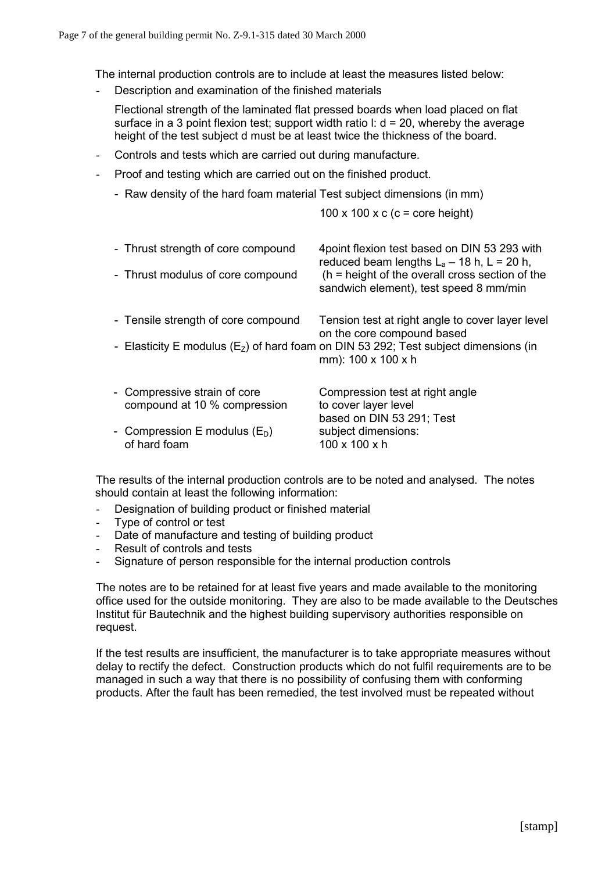The internal production controls are to include at least the measures listed below:

- Description and examination of the finished materials
	- Flectional strength of the laminated flat pressed boards when load placed on flat surface in a 3 point flexion test; support width ratio  $\mathbf{l}$ :  $\mathbf{d} = 20$ , whereby the average height of the test subject d must be at least twice the thickness of the board.
- Controls and tests which are carried out during manufacture.
- Proof and testing which are carried out on the finished product.
	- Raw density of the hard foam material Test subject dimensions (in mm)

100 x 100 x c (c = core height)

| - Thrust strength of core compound<br>- Thrust modulus of core compound | 4 point flexion test based on DIN 53 293 with<br>reduced beam lengths $L_a - 18$ h, L = 20 h,<br>$(h = height of the overall cross section of the$<br>sandwich element), test speed 8 mm/min     |
|-------------------------------------------------------------------------|--------------------------------------------------------------------------------------------------------------------------------------------------------------------------------------------------|
| - Tensile strength of core compound                                     | Tension test at right angle to cover layer level<br>on the core compound based<br>- Elasticity E modulus ( $E_z$ ) of hard foam on DIN 53 292; Test subject dimensions (in<br>mm): 100 x 100 x h |
| - Compressive strain of core<br>compound at 10 % compression            | Compression test at right angle<br>to cover layer level<br>based on DIN 53 291; Test                                                                                                             |
| - Compression E modulus $(E_D)$<br>of hard foam                         | subject dimensions:<br>$100 \times 100 \times h$                                                                                                                                                 |

The results of the internal production controls are to be noted and analysed. The notes should contain at least the following information:

- Designation of building product or finished material
- Type of control or test
- Date of manufacture and testing of building product
- Result of controls and tests
- Signature of person responsible for the internal production controls

The notes are to be retained for at least five years and made available to the monitoring office used for the outside monitoring. They are also to be made available to the Deutsches Institut für Bautechnik and the highest building supervisory authorities responsible on request.

If the test results are insufficient, the manufacturer is to take appropriate measures without delay to rectify the defect. Construction products which do not fulfil requirements are to be managed in such a way that there is no possibility of confusing them with conforming products. After the fault has been remedied, the test involved must be repeated without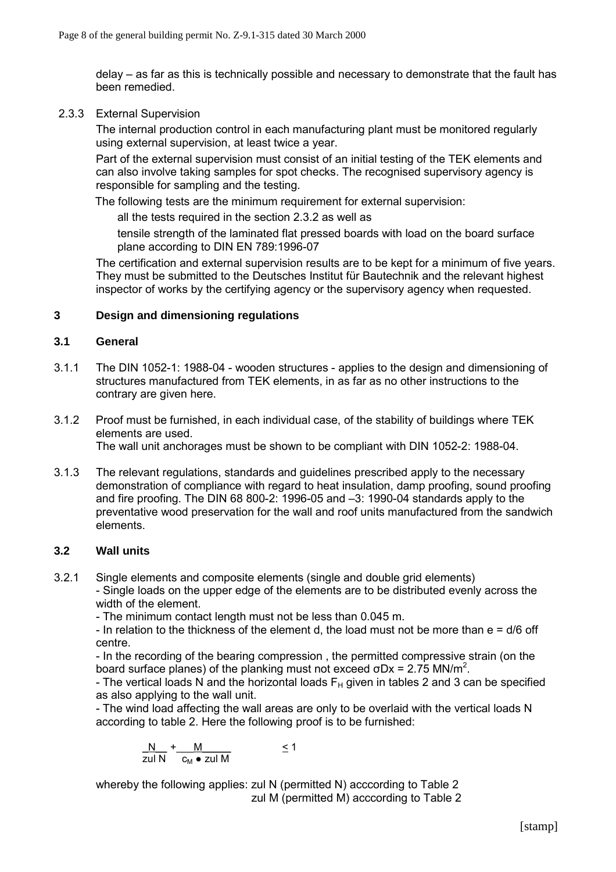delay – as far as this is technically possible and necessary to demonstrate that the fault has been remedied.

2.3.3 External Supervision

The internal production control in each manufacturing plant must be monitored regularly using external supervision, at least twice a year.

Part of the external supervision must consist of an initial testing of the TEK elements and can also involve taking samples for spot checks. The recognised supervisory agency is responsible for sampling and the testing.

The following tests are the minimum requirement for external supervision:

all the tests required in the section 2.3.2 as well as

tensile strength of the laminated flat pressed boards with load on the board surface plane according to DIN EN 789:1996-07

The certification and external supervision results are to be kept for a minimum of five years. They must be submitted to the Deutsches Institut für Bautechnik and the relevant highest inspector of works by the certifying agency or the supervisory agency when requested.

#### **3 Design and dimensioning regulations**

#### **3.1 General**

- 3.1.1 The DIN 1052-1: 1988-04 wooden structures applies to the design and dimensioning of structures manufactured from TEK elements, in as far as no other instructions to the contrary are given here.
- 3.1.2 Proof must be furnished, in each individual case, of the stability of buildings where TEK elements are used. The wall unit anchorages must be shown to be compliant with DIN 1052-2: 1988-04.
- 3.1.3 The relevant regulations, standards and guidelines prescribed apply to the necessary demonstration of compliance with regard to heat insulation, damp proofing, sound proofing and fire proofing. The DIN 68 800-2: 1996-05 and  $-3$ : 1990-04 standards apply to the preventative wood preservation for the wall and roof units manufactured from the sandwich elements.

#### **3.2 Wall units**

3.2.1 Single elements and composite elements (single and double grid elements)

- Single loads on the upper edge of the elements are to be distributed evenly across the width of the element.

- The minimum contact length must not be less than 0.045 m.

- In relation to the thickness of the element d, the load must not be more than  $e = d/6$  off centre.

- In the recording of the bearing compression , the permitted compressive strain (on the board surface planes) of the planking must not exceed  $\sigma$ Dx = 2.75 MN/m<sup>2</sup>.

- The vertical loads N and the horizontal loads  $F_H$  given in tables 2 and 3 can be specified as also applying to the wall unit.

- The wind load affecting the wall areas are only to be overlaid with the vertical loads N according to table 2. Here the following proof is to be furnished:

$$
\frac{N}{\text{zul N}} + \frac{M}{c_M \bullet \text{zul N}} \le 1
$$

whereby the following applies: zul N (permitted N) acccording to Table 2 zul M (permitted M) acccording to Table 2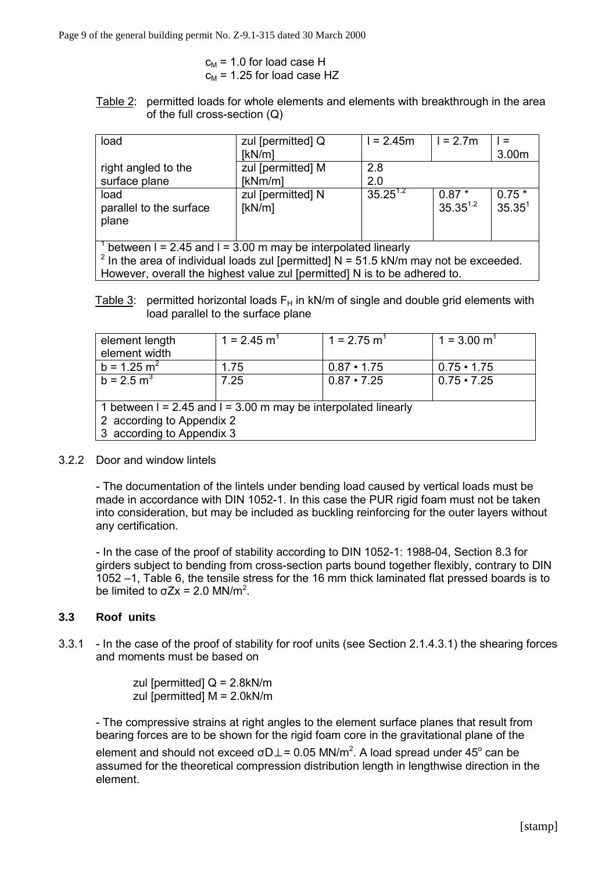$$
c_M = 1.0
$$
 for load case H  

$$
c_M = 1.25
$$
 for load case HZ

Table 2: permitted loads for whole elements and elements with breakthrough in the area of the full cross-section (Q)

| load                                                                                                                                                                                                                                    | zul [permitted] Q           | $1 = 2.45m$   | $1 = 2.7m$               |                               |
|-----------------------------------------------------------------------------------------------------------------------------------------------------------------------------------------------------------------------------------------|-----------------------------|---------------|--------------------------|-------------------------------|
|                                                                                                                                                                                                                                         | [kN/m]                      |               |                          | 3.00m                         |
| right angled to the                                                                                                                                                                                                                     | zul [permitted] M           | 2.8           |                          |                               |
| surface plane                                                                                                                                                                                                                           | [kNm/m]                     | 2.0           |                          |                               |
| load<br>parallel to the surface<br>plane                                                                                                                                                                                                | zul [permitted] N<br>[kN/m] | $35.25^{1.2}$ | $0.87*$<br>$35.35^{1.2}$ | $0.75*$<br>35.35 <sup>1</sup> |
| $1$ between I = 2.45 and I = 3.00 m may be interpolated linearly<br>$2$ In the area of individual loads zul [permitted] N = 51.5 kN/m may not be exceeded.<br>However, overall the highest value zul [permitted] N is to be adhered to. |                             |               |                          |                               |

Table 3: permitted horizontal loads  $F_H$  in kN/m of single and double grid elements with load parallel to the surface plane

| element length<br>element width                                                                                              | $1 = 2.45$ m <sup>1</sup> | $1 = 2.75$ m <sup>1</sup> | $1 = 3.00$ m <sup>1</sup> |
|------------------------------------------------------------------------------------------------------------------------------|---------------------------|---------------------------|---------------------------|
| $b = 1.25$ m <sup>2</sup>                                                                                                    | 1.75                      | $0.87 \cdot 1.75$         | $0.75 \cdot 1.75$         |
| $b = 2.5$ m <sup>3</sup>                                                                                                     | 7.25                      | $0.87 \cdot 7.25$         | $0.75 \cdot 7.25$         |
| 1 between $I = 2.45$ and $I = 3.00$ m may be interpolated linearly<br>2 according to Appendix 2<br>3 according to Appendix 3 |                           |                           |                           |

## 3.2.2 Door and window lintels

- The documentation of the lintels under bending load caused by vertical loads must be made in accordance with DIN 1052-1. In this case the PUR rigid foam must not be taken into consideration, but may be included as buckling reinforcing for the outer layers without any certification.

- In the case of the proof of stability according to DIN 1052-1: 1988-04, Section 8.3 for girders subject to bending from cross-section parts bound together flexibly, contrary to DIN 1052 –1, Table 6, the tensile stress for the 16 mm thick laminated flat pressed boards is to be limited to  $\sigma Zx = 2.0$  MN/m<sup>2</sup>.

#### **3.3 Roof units**

3.3.1 - In the case of the proof of stability for roof units (see Section 2.1.4.3.1) the shearing forces and moments must be based on

> zul [permitted]  $Q = 2.8kN/m$ zul [permitted] M = 2.0kN/m

- The compressive strains at right angles to the element surface planes that result from bearing forces are to be shown for the rigid foam core in the gravitational plane of the

element and should not exceed σD $\perp$  = 0.05 MN/m<sup>2</sup>. A load spread under 45<sup>°</sup> can be assumed for the theoretical compression distribution length in lengthwise direction in the element.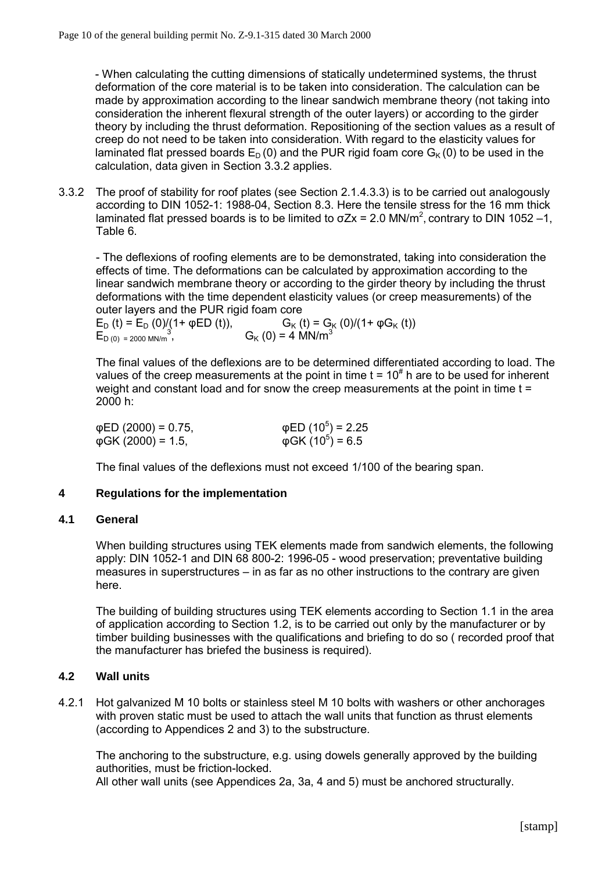- When calculating the cutting dimensions of statically undetermined systems, the thrust deformation of the core material is to be taken into consideration. The calculation can be made by approximation according to the linear sandwich membrane theory (not taking into consideration the inherent flexural strength of the outer layers) or according to the girder theory by including the thrust deformation. Repositioning of the section values as a result of creep do not need to be taken into consideration. With regard to the elasticity values for laminated flat pressed boards  $E_D(0)$  and the PUR rigid foam core  $G_K(0)$  to be used in the calculation, data given in Section 3.3.2 applies.

3.3.2 The proof of stability for roof plates (see Section 2.1.4.3.3) is to be carried out analogously according to DIN 1052-1: 1988-04, Section 8.3. Here the tensile stress for the 16 mm thick laminated flat pressed boards is to be limited to  $\sigma Zx = 2.0 \text{ MN/m}^2$ , contrary to DIN 1052 -1, Table 6.

- The deflexions of roofing elements are to be demonstrated, taking into consideration the effects of time. The deformations can be calculated by approximation according to the linear sandwich membrane theory or according to the girder theory by including the thrust deformations with the time dependent elasticity values (or creep measurements) of the outer layers and the PUR rigid foam core

 $E_D(t) = E_D (0)/(1 + φED (t)),$ <br>  $E_{D(0) = 2000 \text{ MN/m}^3,}$   $G_K (0) = 4 \text{ MN/m}^3$  $E_{D(0)} = 2000$  MN/m<sup>3</sup>,

The final values of the deflexions are to be determined differentiated according to load. The values of the creep measurements at the point in time  $t = 10<sup>\#</sup>$  h are to be used for inherent weight and constant load and for snow the creep measurements at the point in time t = 2000 h:

| φED (2000) = 0.75, | $\phi$ ED (10 <sup>5</sup> ) = 2.25 |
|--------------------|-------------------------------------|
| φGK (2000) = 1.5,  | $\phi$ GK (10 <sup>5</sup> ) = 6.5  |

The final values of the deflexions must not exceed 1/100 of the bearing span.

## **4 Regulations for the implementation**

#### **4.1 General**

When building structures using TEK elements made from sandwich elements, the following apply: DIN 1052-1 and DIN 68 800-2: 1996-05 - wood preservation; preventative building measures in superstructures  $-$  in as far as no other instructions to the contrary are given here.

The building of building structures using TEK elements according to Section 1.1 in the area of application according to Section 1.2, is to be carried out only by the manufacturer or by timber building businesses with the qualifications and briefing to do so ( recorded proof that the manufacturer has briefed the business is required).

## **4.2 Wall units**

4.2.1 Hot galvanized M 10 bolts or stainless steel M 10 bolts with washers or other anchorages with proven static must be used to attach the wall units that function as thrust elements (according to Appendices 2 and 3) to the substructure.

The anchoring to the substructure, e.g. using dowels generally approved by the building authorities, must be friction-locked.

All other wall units (see Appendices 2a, 3a, 4 and 5) must be anchored structurally.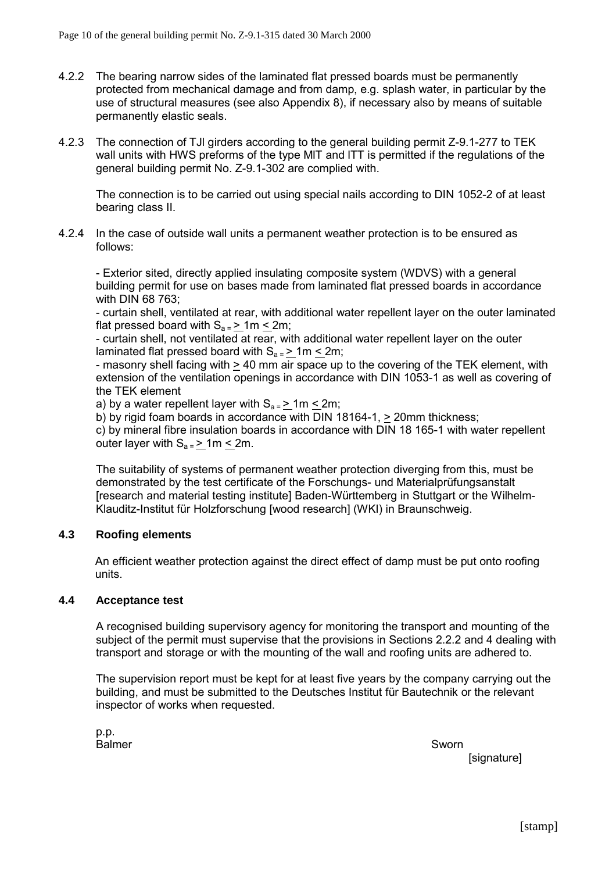- 4.2.2 The bearing narrow sides of the laminated flat pressed boards must be permanently protected from mechanical damage and from damp, e.g. splash water, in particular by the use of structural measures (see also Appendix 8), if necessary also by means of suitable permanently elastic seals.
- 4.2.3 The connection of TJl girders according to the general building permit Z-9.1-277 to TEK wall units with HWS preforms of the type MlT and lTT is permitted if the regulations of the general building permit No. Z-9.1-302 are complied with.

The connection is to be carried out using special nails according to DIN 1052-2 of at least bearing class II.

4.2.4 In the case of outside wall units a permanent weather protection is to be ensured as follows:

- Exterior sited, directly applied insulating composite system (WDVS) with a general building permit for use on bases made from laminated flat pressed boards in accordance with DIN 68 763;

- curtain shell, ventilated at rear, with additional water repellent layer on the outer laminated flat pressed board with  $S_{a} = \geq 1 \text{m} \leq 2 \text{m}$ ;

- curtain shell, not ventilated at rear, with additional water repellent layer on the outer laminated flat pressed board with  $S_{a} = 2$  1m < 2m;

- masonry shell facing with  $\geq 40$  mm air space up to the covering of the TEK element, with extension of the ventilation openings in accordance with DIN 1053-1 as well as covering of the TEK element

a) by a water repellent layer with  $S_{a} = 2$  1m < 2m;

b) by rigid foam boards in accordance with DIN 18164-1, > 20mm thickness;

c) by mineral fibre insulation boards in accordance with DIN 18 165-1 with water repellent outer layer with  $S_{a} = \frac{1}{2}$  m  $\leq$  2m.

The suitability of systems of permanent weather protection diverging from this, must be demonstrated by the test certificate of the Forschungs- und Materialprüfungsanstalt [research and material testing institute] Baden-Württemberg in Stuttgart or the Wilhelm-Klauditz-Institut für Holzforschung [wood research] (WKI) in Braunschweig.

## **4.3 Roofing elements**

An efficient weather protection against the direct effect of damp must be put onto roofing units.

## **4.4 Acceptance test**

A recognised building supervisory agency for monitoring the transport and mounting of the subject of the permit must supervise that the provisions in Sections 2.2.2 and 4 dealing with transport and storage or with the mounting of the wall and roofing units are adhered to.

The supervision report must be kept for at least five years by the company carrying out the building, and must be submitted to the Deutsches Institut für Bautechnik or the relevant inspector of works when requested.

p.p. Balmer Sworn Sworn Sworn Sworn Sworn Sworn Sworn Sworn Sworn Sworn Sworn Sworn Sworn Sworn Sworn Sworn Sworn Sw

[signature]

[stamp]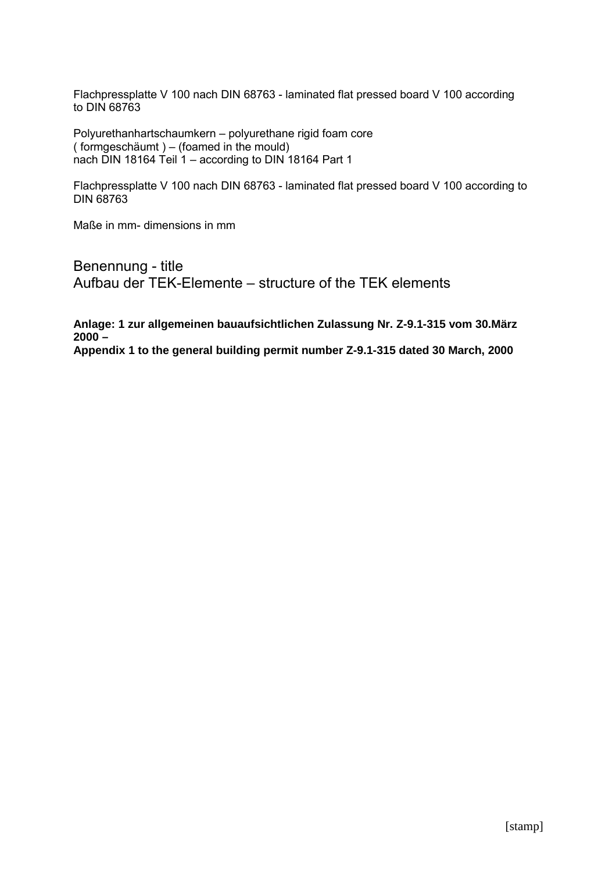Flachpressplatte V 100 nach DIN 68763 - laminated flat pressed board V 100 according to DIN 68763

Polyurethanhartschaumkern - polyurethane rigid foam core  $($  formgeschäumt  $) - ($ foamed in the mould $)$ nach DIN 18164 Teil 1 – according to DIN 18164 Part 1

Flachpressplatte V 100 nach DIN 68763 - laminated flat pressed board V 100 according to DIN 68763

Maße in mm- dimensions in mm

Benennung - title Aufbau der TEK-Elemente – structure of the TEK elements

**Anlage: 1 zur allgemeinen bauaufsichtlichen Zulassung Nr. Z-9.1-315 vom 30.März 2000 – Appendix 1 to the general building permit number Z-9.1-315 dated 30 March, 2000**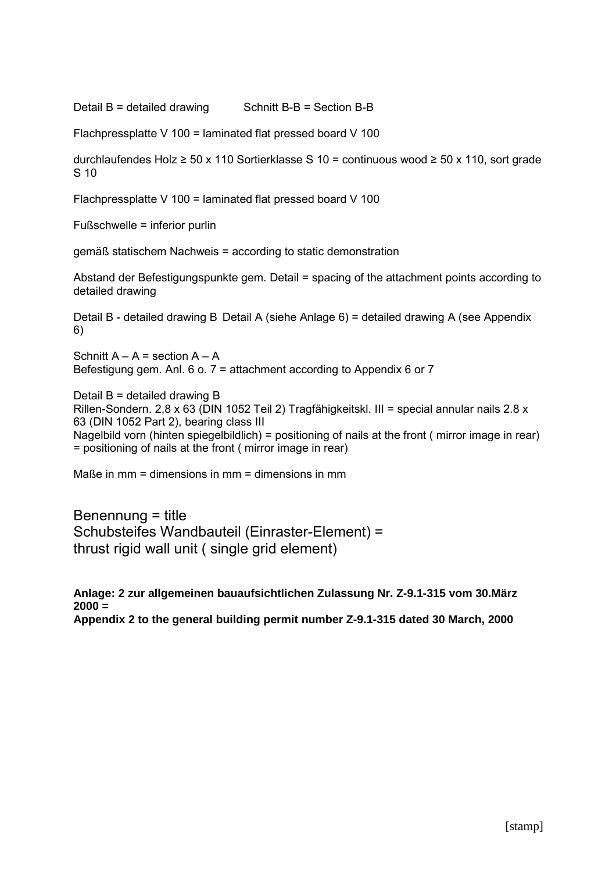Detail  $B =$  detailed drawing Schnitt  $B - B =$  Section  $B - B$ 

Flachpressplatte V 100 = laminated flat pressed board V 100

durchlaufendes Holz ≥ 50 x 110 Sortierklasse S 10 = continuous wood ≥ 50 x 110, sort grade S 10

Flachpressplatte V 100 = laminated flat pressed board V 100

 $F$ ußschwelle = inferior purlin

gemäß statischem Nachweis = according to static demonstration

Abstand der Befestigungspunkte gem. Detail = spacing of the attachment points according to detailed drawing

Detail B - detailed drawing B Detail A (siehe Anlage 6) = detailed drawing A (see Appendix 6)

Schnitt  $A - A$  = section  $A - A$ Befestigung gem. Anl. 6 o. 7 = attachment according to Appendix 6 or 7

Detail B = detailed drawing B Rillen-Sondern. 2,8 x 63 (DIN 1052 Teil 2) Tragfähigkeitskl. III = special annular nails 2.8 x 63 (DIN 1052 Part 2), bearing class III Nagelbild vorn (hinten spiegelbildlich) = positioning of nails at the front ( mirror image in rear) = positioning of nails at the front ( mirror image in rear)

Maße in  $mm =$  dimensions in  $mm =$  dimensions in  $mm$ 

Benennung = title Schubsteifes Wandbauteil (Einraster-Element) = thrust rigid wall unit ( single grid element)

**Anlage: 2 zur allgemeinen bauaufsichtlichen Zulassung Nr. Z-9.1-315 vom 30.März 2000 = Appendix 2 to the general building permit number Z-9.1-315 dated 30 March, 2000**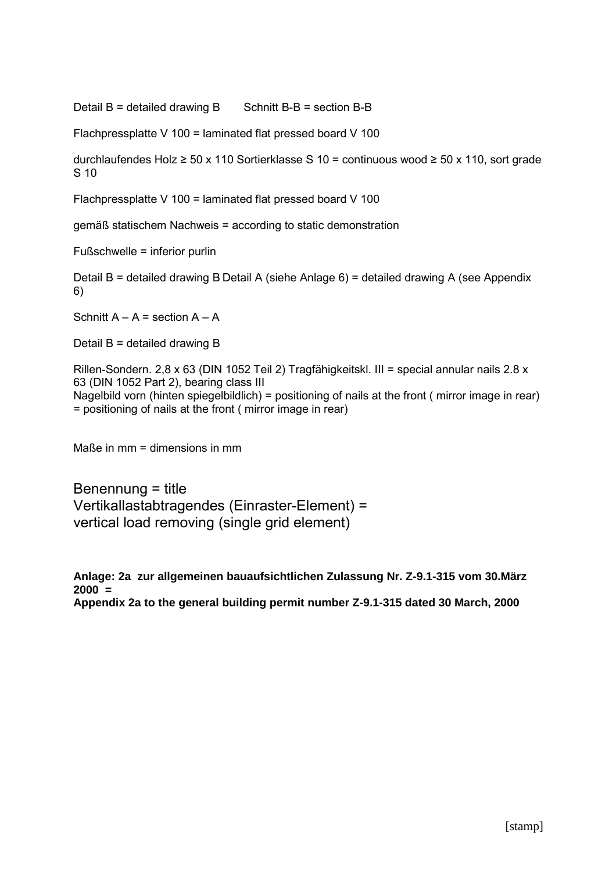Detail B = detailed drawing B Schnitt B-B = section B-B

Flachpressplatte V 100 = laminated flat pressed board V 100

durchlaufendes Holz ≥ 50 x 110 Sortierklasse S 10 = continuous wood ≥ 50 x 110, sort grade S 10

Flachpressplatte V 100 = laminated flat pressed board V 100

gemäß statischem Nachweis = according to static demonstration

Fußschwelle = inferior purlin

Detail B = detailed drawing B Detail A (siehe Anlage 6) = detailed drawing A (see Appendix 6)

Schnitt  $A - A$  = section  $A - A$ 

Detail B = detailed drawing B

Rillen-Sondern. 2,8 x 63 (DIN 1052 Teil 2) Tragfähigkeitskl. III = special annular nails 2.8 x 63 (DIN 1052 Part 2), bearing class III Nagelbild vorn (hinten spiegelbildlich) = positioning of nails at the front ( mirror image in rear) = positioning of nails at the front ( mirror image in rear)

Maße in  $mm =$  dimensions in  $mm$ 

Benennung = title Vertikallastabtragendes (Einraster-Element) = vertical load removing (single grid element)

**Anlage: 2a zur allgemeinen bauaufsichtlichen Zulassung Nr. Z-9.1-315 vom 30.März 2000 = Appendix 2a to the general building permit number Z-9.1-315 dated 30 March, 2000**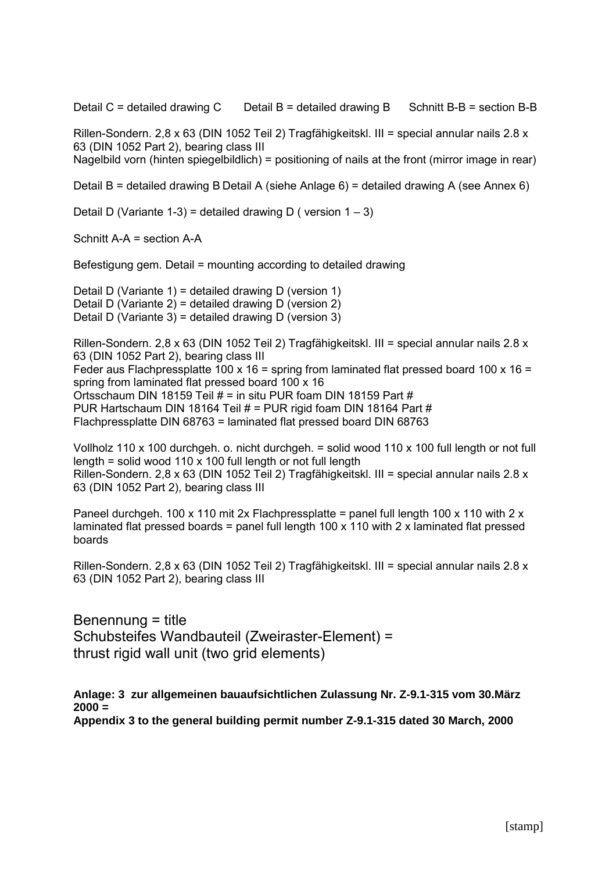Detail C = detailed drawing C Detail B = detailed drawing B Schnitt B-B = section B-B

Rillen-Sondern. 2,8 x 63 (DIN 1052 Teil 2) Tragfähigkeitskl. III = special annular nails 2.8 x 63 (DIN 1052 Part 2), bearing class III

Nagelbild vorn (hinten spiegelbildlich) = positioning of nails at the front (mirror image in rear)

Detail B = detailed drawing B Detail A (siehe Anlage 6) = detailed drawing A (see Annex 6)

Detail D (Variante 1-3) = detailed drawing D ( version  $1 - 3$ )

Schnitt A-A = section A-A

Befestigung gem. Detail = mounting according to detailed drawing

Detail D (Variante 1) = detailed drawing D (version 1) Detail D (Variante 2) = detailed drawing D (version 2) Detail D (Variante 3) = detailed drawing D (version 3)

Rillen-Sondern. 2,8 x 63 (DIN 1052 Teil 2) Tragfähigkeitskl. III = special annular nails 2.8 x 63 (DIN 1052 Part 2), bearing class III Feder aus Flachpressplatte 100 x 16 = spring from laminated flat pressed board 100 x 16 = spring from laminated flat pressed board 100 x 16 Ortsschaum DIN 18159 Teil # = in situ PUR foam DIN 18159 Part # PUR Hartschaum DIN 18164 Teil # = PUR rigid foam DIN 18164 Part # Flachpressplatte DIN 68763 = laminated flat pressed board DIN 68763

Vollholz 110 x 100 durchgeh. o. nicht durchgeh. = solid wood 110 x 100 full length or not full length = solid wood 110 x 100 full length or not full length Rillen-Sondern. 2,8 x 63 (DIN 1052 Teil 2) Tragfähigkeitskl. III = special annular nails 2.8 x 63 (DIN 1052 Part 2), bearing class III

Paneel durchgeh. 100 x 110 mit 2x Flachpressplatte = panel full length 100 x 110 with 2 x laminated flat pressed boards = panel full length 100 x 110 with 2 x laminated flat pressed boards

Rillen-Sondern. 2,8 x 63 (DIN 1052 Teil 2) Tragfähigkeitskl. III = special annular nails 2.8 x 63 (DIN 1052 Part 2), bearing class III

Benennung = title Schubsteifes Wandbauteil (Zweiraster-Element) = thrust rigid wall unit (two grid elements)

**Anlage: 3 zur allgemeinen bauaufsichtlichen Zulassung Nr. Z-9.1-315 vom 30.März 2000 = Appendix 3 to the general building permit number Z-9.1-315 dated 30 March, 2000**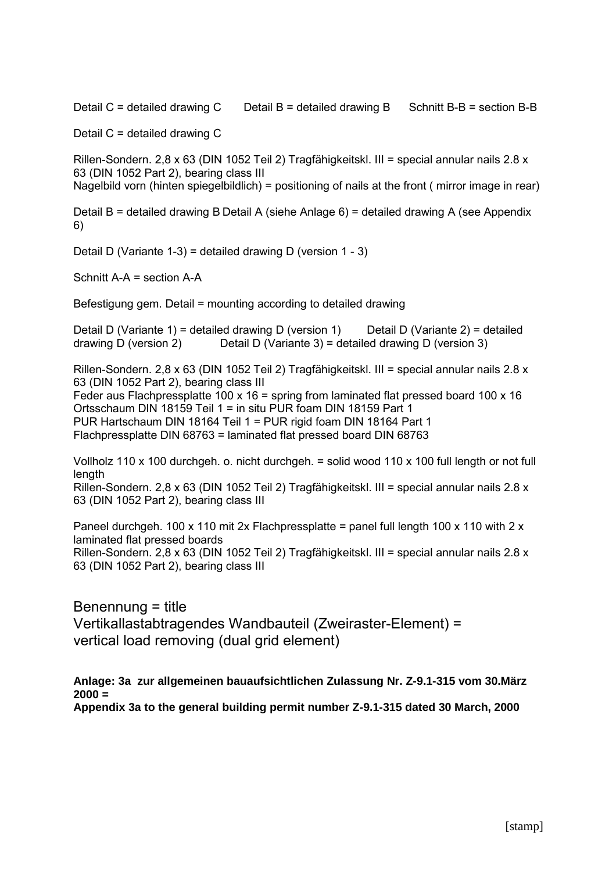Detail C = detailed drawing C Detail B = detailed drawing B Schnitt B-B = section B-B

Detail C = detailed drawing C

Rillen-Sondern. 2,8 x 63 (DIN 1052 Teil 2) Tragfähigkeitskl. III = special annular nails 2.8 x 63 (DIN 1052 Part 2), bearing class III Nagelbild vorn (hinten spiegelbildlich) = positioning of nails at the front ( mirror image in rear)

Detail B = detailed drawing B Detail A (siehe Anlage 6) = detailed drawing A (see Appendix 6)

Detail D (Variante 1-3) = detailed drawing D (version 1 - 3)

Schnitt A-A = section A-A

Befestigung gem. Detail = mounting according to detailed drawing

Detail D (Variante 1) = detailed drawing D (version 1) Detail D (Variante 2) = detailed drawing D (version 2) Detail D (Variante 3) = detailed drawing D (version 3)

Rillen-Sondern. 2,8 x 63 (DIN 1052 Teil 2) Tragfähigkeitskl. III = special annular nails 2.8 x 63 (DIN 1052 Part 2), bearing class III Feder aus Flachpressplatte 100 x 16 = spring from laminated flat pressed board 100 x 16 Ortsschaum DIN 18159 Teil 1 = in situ PUR foam DIN 18159 Part 1 PUR Hartschaum DIN 18164 Teil 1 = PUR rigid foam DIN 18164 Part 1 Flachpressplatte DIN 68763 = laminated flat pressed board DIN 68763

Vollholz 110 x 100 durchgeh. o. nicht durchgeh. = solid wood 110 x 100 full length or not full length

Rillen-Sondern. 2,8 x 63 (DIN 1052 Teil 2) Tragfähigkeitskl. III = special annular nails 2.8 x 63 (DIN 1052 Part 2), bearing class III

Paneel durchgeh. 100 x 110 mit 2x Flachpressplatte = panel full length 100 x 110 with  $2 \times$ laminated flat pressed boards Rillen-Sondern. 2,8 x 63 (DIN 1052 Teil 2) Tragfähigkeitskl. III = special annular nails 2.8 x 63 (DIN 1052 Part 2), bearing class III

Benennung = title Vertikallastabtragendes Wandbauteil (Zweiraster-Element) = vertical load removing (dual grid element)

**Anlage: 3a zur allgemeinen bauaufsichtlichen Zulassung Nr. Z-9.1-315 vom 30.März 2000 = Appendix 3a to the general building permit number Z-9.1-315 dated 30 March, 2000**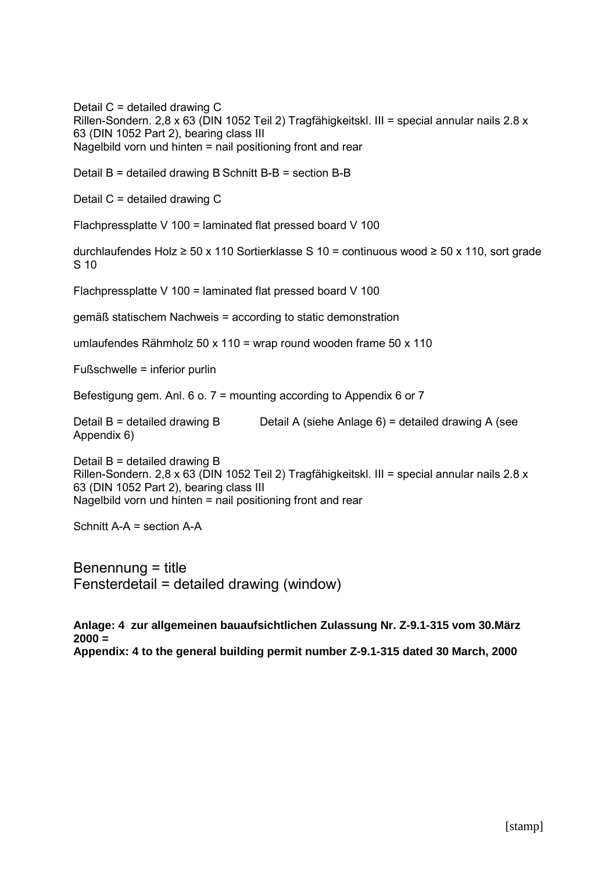Detail C = detailed drawing C Rillen-Sondern. 2,8 x 63 (DIN 1052 Teil 2) Tragfähigkeitskl. III = special annular nails 2,8 x 63 (DIN 1052 Part 2), bearing class III Nagelbild vorn und hinten = nail positioning front and rear

Detail B = detailed drawing B Schnitt B-B = section B-B

Detail C = detailed drawing C

Flachpressplatte V 100 = laminated flat pressed board V 100

durchlaufendes Holz ≥ 50 x 110 Sortierklasse S 10 = continuous wood ≥ 50 x 110, sort grade S 10

Flachpressplatte V 100 = laminated flat pressed board V 100

gemäß statischem Nachweis = according to static demonstration

umlaufendes Rähmholz 50 x 110 = wrap round wooden frame 50 x 110

 $Fu$ ßschwelle = inferior purlin

Befestigung gem. Anl. 6 o. 7 = mounting according to Appendix 6 or 7

Detail B = detailed drawing B Detail A (siehe Anlage  $6$ ) = detailed drawing A (see Appendix 6)

Detail  $B =$  detailed drawing  $B$ Rillen-Sondern. 2,8 x 63 (DIN 1052 Teil 2) Tragfähigkeitskl. III = special annular nails 2.8 x 63 (DIN 1052 Part 2), bearing class III Nagelbild vorn und hinten = nail positioning front and rear

Schnitt A-A = section A-A

Benennung = title Fensterdetail = detailed drawing (window)

**Anlage: 4 zur allgemeinen bauaufsichtlichen Zulassung Nr. Z-9.1-315 vom 30.März 2000 = Appendix: 4 to the general building permit number Z-9.1-315 dated 30 March, 2000**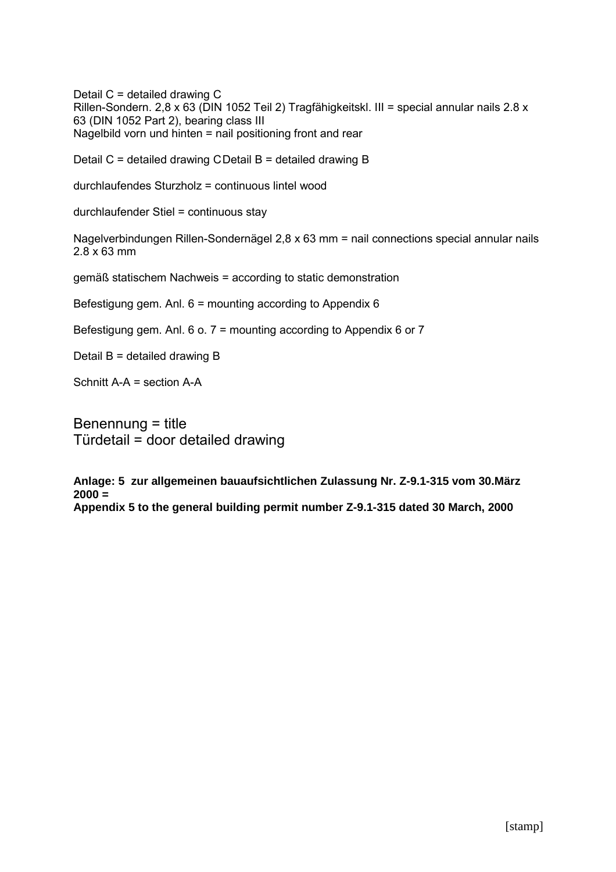Detail C = detailed drawing C Rillen-Sondern. 2,8 x 63 (DIN 1052 Teil 2) Tragfähigkeitskl. III = special annular nails 2.8 x 63 (DIN 1052 Part 2), bearing class III Nagelbild vorn und hinten = nail positioning front and rear

Detail C = detailed drawing CDetail B = detailed drawing B

durchlaufendes Sturzholz = continuous lintel wood

durchlaufender Stiel = continuous stay

Nagelverbindungen Rillen-Sondernägel 2,8 x 63 mm = nail connections special annular nails 2.8 x 63 mm

gemäß statischem Nachweis = according to static demonstration

Befestigung gem. Anl. 6 = mounting according to Appendix 6

Befestigung gem. Anl. 6 o. 7 = mounting according to Appendix 6 or 7

Detail B = detailed drawing B

Schnitt A-A = section A-A

Benennung = title  $Türdetail = door detailed drawing$ 

**Anlage: 5 zur allgemeinen bauaufsichtlichen Zulassung Nr. Z-9.1-315 vom 30.März 2000 = Appendix 5 to the general building permit number Z-9.1-315 dated 30 March, 2000**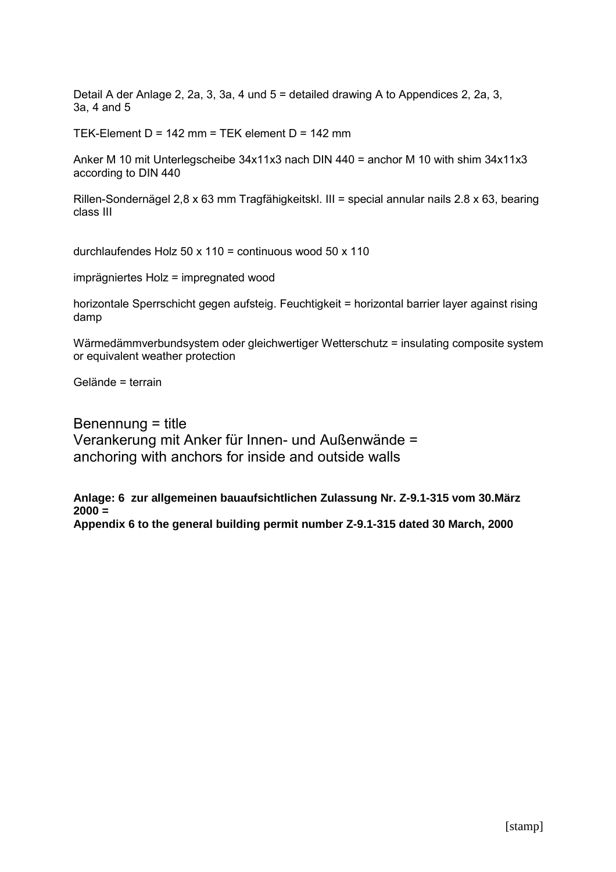Detail A der Anlage 2, 2a, 3, 3a, 4 und 5 = detailed drawing A to Appendices 2, 2a, 3, 3a, 4 and 5

TEK-Element  $D = 142$  mm = TEK element  $D = 142$  mm

Anker M 10 mit Unterlegscheibe 34x11x3 nach DIN 440 = anchor M 10 with shim 34x11x3 according to DIN 440

Rillen-Sondernägel 2,8 x 63 mm Tragfähigkeitskl. III = special annular nails 2.8 x 63, bearing class III

durchlaufendes Holz 50 x 110 = continuous wood 50 x 110

imprägniertes Holz = impregnated wood

horizontale Sperrschicht gegen aufsteig. Feuchtigkeit = horizontal barrier layer against rising damp

Wärmedämmverbundsystem oder gleichwertiger Wetterschutz = insulating composite system or equivalent weather protection

Gelände = terrain

Benennung = title Verankerung mit Anker für Innen- und Außenwände = anchoring with anchors for inside and outside walls

**Anlage: 6 zur allgemeinen bauaufsichtlichen Zulassung Nr. Z-9.1-315 vom 30.März 2000 = Appendix 6 to the general building permit number Z-9.1-315 dated 30 March, 2000**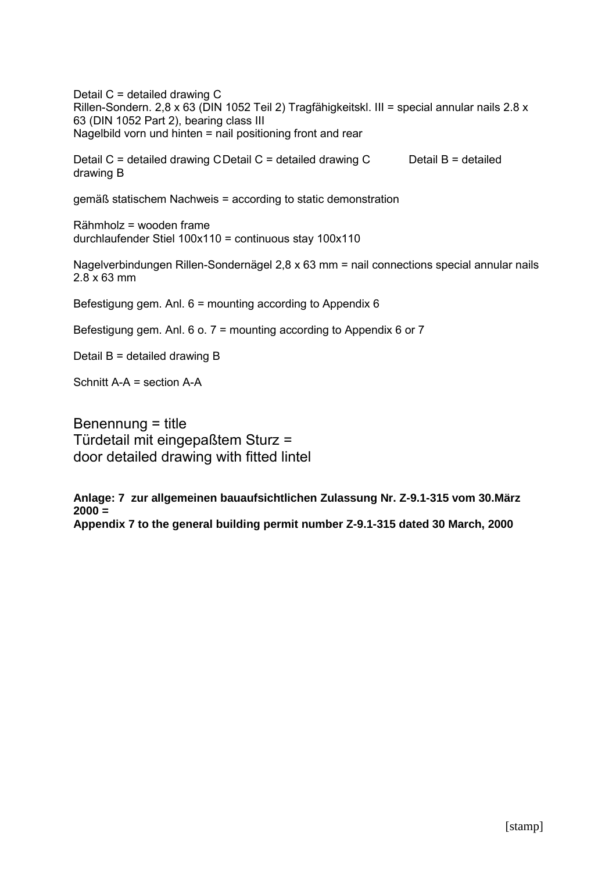Detail C = detailed drawing C Rillen-Sondern. 2,8 x 63 (DIN 1052 Teil 2) Tragfähigkeitskl. III = special annular nails 2.8 x 63 (DIN 1052 Part 2), bearing class III Nagelbild vorn und hinten = nail positioning front and rear Detail C = detailed drawing CDetail C = detailed drawing C Detail B = detailed drawing B gemäß statischem Nachweis = according to static demonstration Rähmholz = wooden frame durchlaufender Stiel 100x110 = continuous stay 100x110 Nagelverbindungen Rillen-Sondernägel 2,8 x 63 mm = nail connections special annular nails 2.8 x 63 mm Befestigung gem. Anl. 6 = mounting according to Appendix 6 Befestigung gem. Anl. 6 o. 7 = mounting according to Appendix 6 or 7 Detail B = detailed drawing B Schnitt A-A = section A-A Benennung = title

Türdetail mit eingepaßtem Sturz = door detailed drawing with fitted lintel

**Anlage: 7 zur allgemeinen bauaufsichtlichen Zulassung Nr. Z-9.1-315 vom 30.März 2000 = Appendix 7 to the general building permit number Z-9.1-315 dated 30 March, 2000**